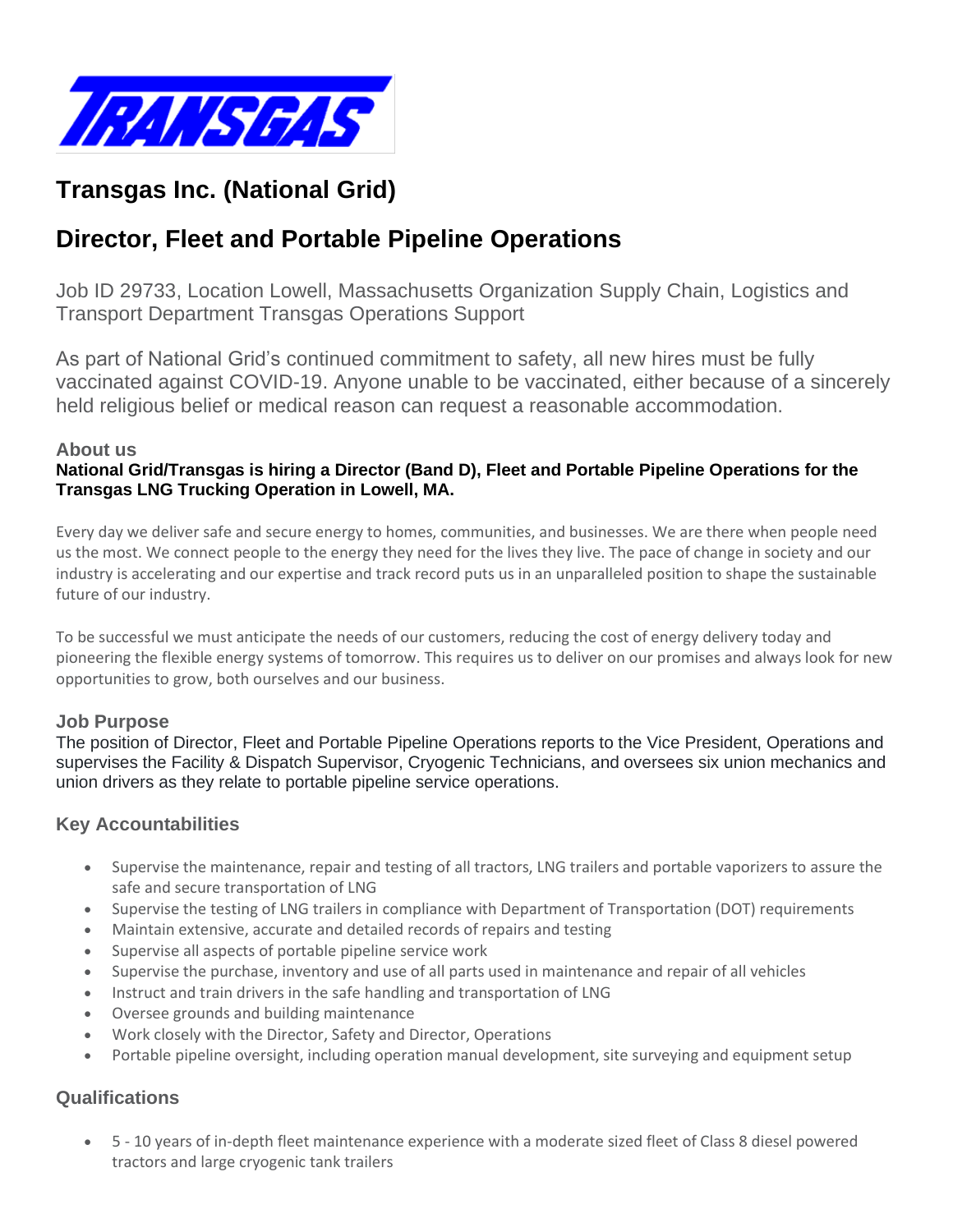

# **Transgas Inc. (National Grid)**

# **Director, Fleet and Portable Pipeline Operations**

Job ID 29733, Location Lowell, Massachusetts Organization Supply Chain, Logistics and Transport Department Transgas Operations Support

As part of National Grid's continued commitment to safety, all new hires must be fully vaccinated against COVID-19. Anyone unable to be vaccinated, either because of a sincerely held religious belief or medical reason can request a reasonable accommodation.

### **About us**

#### **National Grid/Transgas is hiring a Director (Band D), Fleet and Portable Pipeline Operations for the Transgas LNG Trucking Operation in Lowell, MA.**

Every day we deliver safe and secure energy to homes, communities, and businesses. We are there when people need us the most. We connect people to the energy they need for the lives they live. The pace of change in society and our industry is accelerating and our expertise and track record puts us in an unparalleled position to shape the sustainable future of our industry.

To be successful we must anticipate the needs of our customers, reducing the cost of energy delivery today and pioneering the flexible energy systems of tomorrow. This requires us to deliver on our promises and always look for new opportunities to grow, both ourselves and our business.

### **Job Purpose**

The position of Director, Fleet and Portable Pipeline Operations reports to the Vice President, Operations and supervises the Facility & Dispatch Supervisor, Cryogenic Technicians, and oversees six union mechanics and union drivers as they relate to portable pipeline service operations.

### **Key Accountabilities**

- Supervise the maintenance, repair and testing of all tractors, LNG trailers and portable vaporizers to assure the safe and secure transportation of LNG
- Supervise the testing of LNG trailers in compliance with Department of Transportation (DOT) requirements
- Maintain extensive, accurate and detailed records of repairs and testing
- Supervise all aspects of portable pipeline service work
- Supervise the purchase, inventory and use of all parts used in maintenance and repair of all vehicles
- Instruct and train drivers in the safe handling and transportation of LNG
- Oversee grounds and building maintenance
- Work closely with the Director, Safety and Director, Operations
- Portable pipeline oversight, including operation manual development, site surveying and equipment setup

### **Qualifications**

• 5 - 10 years of in-depth fleet maintenance experience with a moderate sized fleet of Class 8 diesel powered tractors and large cryogenic tank trailers